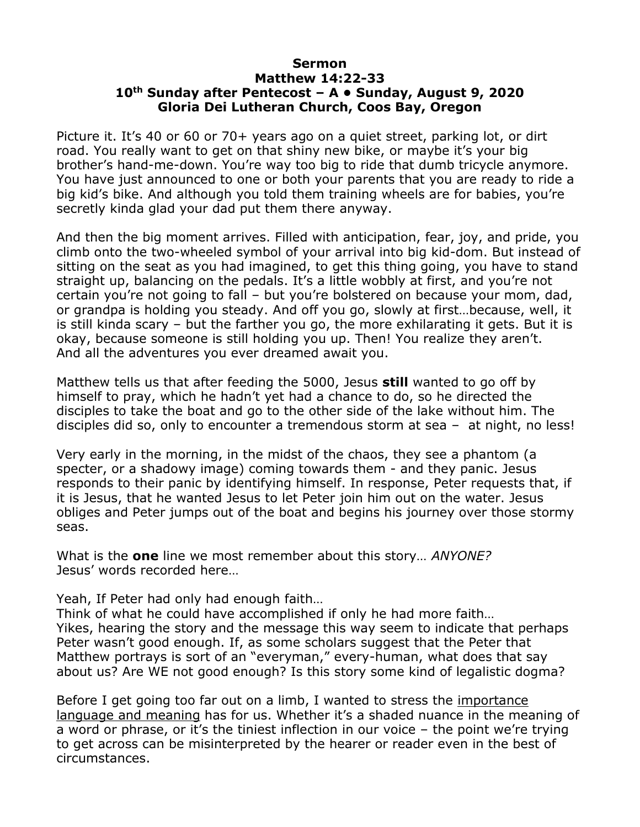## **Sermon Matthew 14:22-33 10th Sunday after Pentecost – A • Sunday, August 9, 2020 Gloria Dei Lutheran Church, Coos Bay, Oregon**

Picture it. It's 40 or 60 or 70+ years ago on a quiet street, parking lot, or dirt road. You really want to get on that shiny new bike, or maybe it's your big brother's hand-me-down. You're way too big to ride that dumb tricycle anymore. You have just announced to one or both your parents that you are ready to ride a big kid's bike. And although you told them training wheels are for babies, you're secretly kinda glad your dad put them there anyway.

And then the big moment arrives. Filled with anticipation, fear, joy, and pride, you climb onto the two-wheeled symbol of your arrival into big kid-dom. But instead of sitting on the seat as you had imagined, to get this thing going, you have to stand straight up, balancing on the pedals. It's a little wobbly at first, and you're not certain you're not going to fall – but you're bolstered on because your mom, dad, or grandpa is holding you steady. And off you go, slowly at first…because, well, it is still kinda scary – but the farther you go, the more exhilarating it gets. But it is okay, because someone is still holding you up. Then! You realize they aren't. And all the adventures you ever dreamed await you.

Matthew tells us that after feeding the 5000, Jesus **still** wanted to go off by himself to pray, which he hadn't yet had a chance to do, so he directed the disciples to take the boat and go to the other side of the lake without him. The disciples did so, only to encounter a tremendous storm at sea – at night, no less!

Very early in the morning, in the midst of the chaos, they see a phantom (a specter, or a shadowy image) coming towards them - and they panic. Jesus responds to their panic by identifying himself. In response, Peter requests that, if it is Jesus, that he wanted Jesus to let Peter join him out on the water. Jesus obliges and Peter jumps out of the boat and begins his journey over those stormy seas.

What is the **one** line we most remember about this story… *ANYONE?* Jesus' words recorded here…

Yeah, If Peter had only had enough faith…

Think of what he could have accomplished if only he had more faith… Yikes, hearing the story and the message this way seem to indicate that perhaps Peter wasn't good enough. If, as some scholars suggest that the Peter that Matthew portrays is sort of an "everyman," every-human, what does that say about us? Are WE not good enough? Is this story some kind of legalistic dogma?

Before I get going too far out on a limb, I wanted to stress the importance language and meaning has for us. Whether it's a shaded nuance in the meaning of a word or phrase, or it's the tiniest inflection in our voice – the point we're trying to get across can be misinterpreted by the hearer or reader even in the best of circumstances.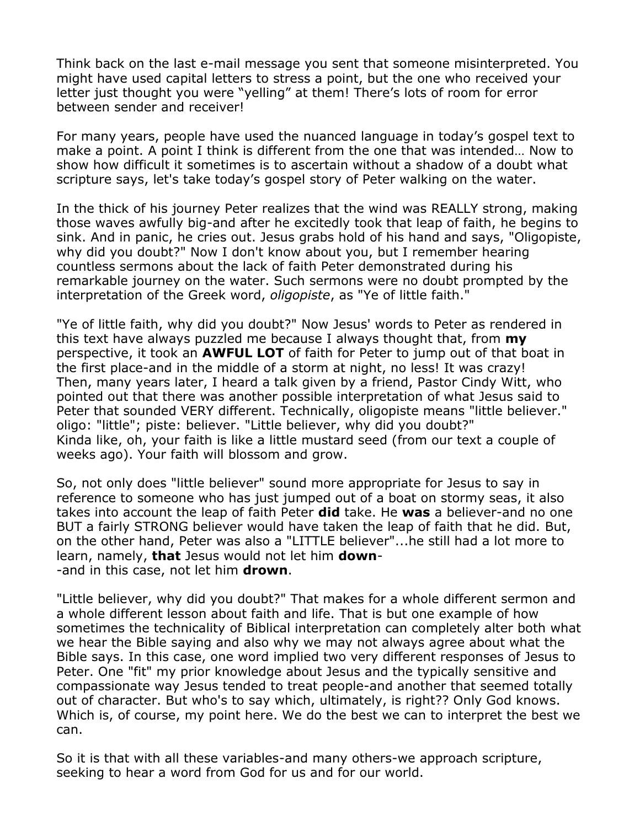Think back on the last e-mail message you sent that someone misinterpreted. You might have used capital letters to stress a point, but the one who received your letter just thought you were "yelling" at them! There's lots of room for error between sender and receiver!

For many years, people have used the nuanced language in today's gospel text to make a point. A point I think is different from the one that was intended… Now to show how difficult it sometimes is to ascertain without a shadow of a doubt what scripture says, let's take today's gospel story of Peter walking on the water.

In the thick of his journey Peter realizes that the wind was REALLY strong, making those waves awfully big-and after he excitedly took that leap of faith, he begins to sink. And in panic, he cries out. Jesus grabs hold of his hand and says, "Oligopiste, why did you doubt?" Now I don't know about you, but I remember hearing countless sermons about the lack of faith Peter demonstrated during his remarkable journey on the water. Such sermons were no doubt prompted by the interpretation of the Greek word, *oligopiste*, as "Ye of little faith."

"Ye of little faith, why did you doubt?" Now Jesus' words to Peter as rendered in this text have always puzzled me because I always thought that, from **my** perspective, it took an **AWFUL LOT** of faith for Peter to jump out of that boat in the first place-and in the middle of a storm at night, no less! It was crazy! Then, many years later, I heard a talk given by a friend, Pastor Cindy Witt, who pointed out that there was another possible interpretation of what Jesus said to Peter that sounded VERY different. Technically, oligopiste means "little believer." oligo: "little"; piste: believer. "Little believer, why did you doubt?" Kinda like, oh, your faith is like a little mustard seed (from our text a couple of weeks ago). Your faith will blossom and grow.

So, not only does "little believer" sound more appropriate for Jesus to say in reference to someone who has just jumped out of a boat on stormy seas, it also takes into account the leap of faith Peter **did** take. He **was** a believer-and no one BUT a fairly STRONG believer would have taken the leap of faith that he did. But, on the other hand, Peter was also a "LITTLE believer"...he still had a lot more to learn, namely, **that** Jesus would not let him **down**- -and in this case, not let him **drown**.

"Little believer, why did you doubt?" That makes for a whole different sermon and a whole different lesson about faith and life. That is but one example of how sometimes the technicality of Biblical interpretation can completely alter both what we hear the Bible saying and also why we may not always agree about what the Bible says. In this case, one word implied two very different responses of Jesus to Peter. One "fit" my prior knowledge about Jesus and the typically sensitive and compassionate way Jesus tended to treat people-and another that seemed totally out of character. But who's to say which, ultimately, is right?? Only God knows. Which is, of course, my point here. We do the best we can to interpret the best we can.

So it is that with all these variables-and many others-we approach scripture, seeking to hear a word from God for us and for our world.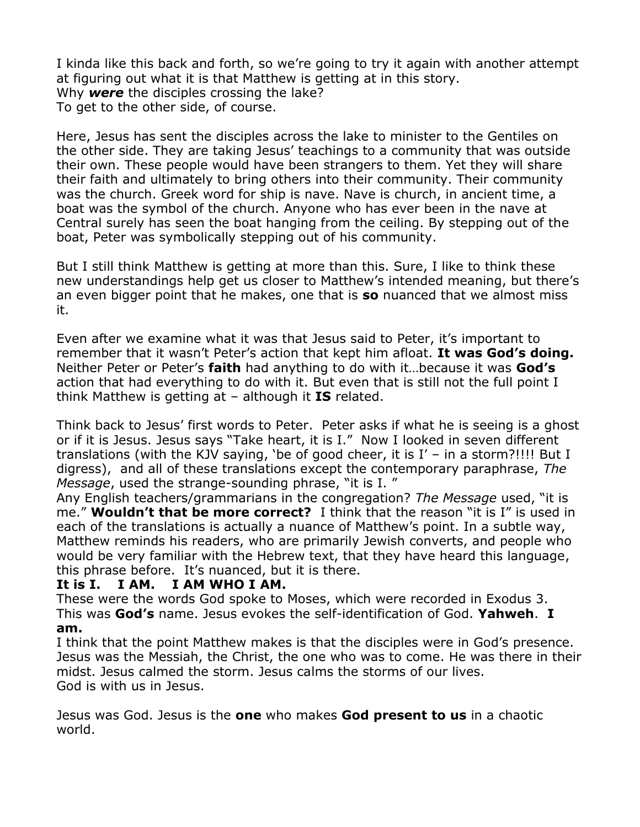I kinda like this back and forth, so we're going to try it again with another attempt at figuring out what it is that Matthew is getting at in this story. Why *were* the disciples crossing the lake? To get to the other side, of course.

Here, Jesus has sent the disciples across the lake to minister to the Gentiles on the other side. They are taking Jesus' teachings to a community that was outside their own. These people would have been strangers to them. Yet they will share their faith and ultimately to bring others into their community. Their community was the church. Greek word for ship is nave. Nave is church, in ancient time, a boat was the symbol of the church. Anyone who has ever been in the nave at Central surely has seen the boat hanging from the ceiling. By stepping out of the boat, Peter was symbolically stepping out of his community.

But I still think Matthew is getting at more than this. Sure, I like to think these new understandings help get us closer to Matthew's intended meaning, but there's an even bigger point that he makes, one that is **so** nuanced that we almost miss it.

Even after we examine what it was that Jesus said to Peter, it's important to remember that it wasn't Peter's action that kept him afloat. **It was God's doing.** Neither Peter or Peter's **faith** had anything to do with it…because it was **God's** action that had everything to do with it. But even that is still not the full point I think Matthew is getting at – although it **IS** related.

Think back to Jesus' first words to Peter. Peter asks if what he is seeing is a ghost or if it is Jesus. Jesus says "Take heart, it is I." Now I looked in seven different translations (with the KJV saying, 'be of good cheer, it is I' – in a storm?!!!! But I digress), and all of these translations except the contemporary paraphrase, *The Message*, used the strange-sounding phrase, "it is I. "

Any English teachers/grammarians in the congregation? *The Message* used, "it is me." **Wouldn't that be more correct?** I think that the reason "it is I" is used in each of the translations is actually a nuance of Matthew's point. In a subtle way, Matthew reminds his readers, who are primarily Jewish converts, and people who would be very familiar with the Hebrew text, that they have heard this language, this phrase before. It's nuanced, but it is there.

## **It is I. I AM. I AM WHO I AM.**

These were the words God spoke to Moses, which were recorded in Exodus 3. This was **God's** name. Jesus evokes the self-identification of God. **Yahweh**. **I am.** 

I think that the point Matthew makes is that the disciples were in God's presence. Jesus was the Messiah, the Christ, the one who was to come. He was there in their midst. Jesus calmed the storm. Jesus calms the storms of our lives. God is with us in Jesus.

Jesus was God. Jesus is the **one** who makes **God present to us** in a chaotic world.